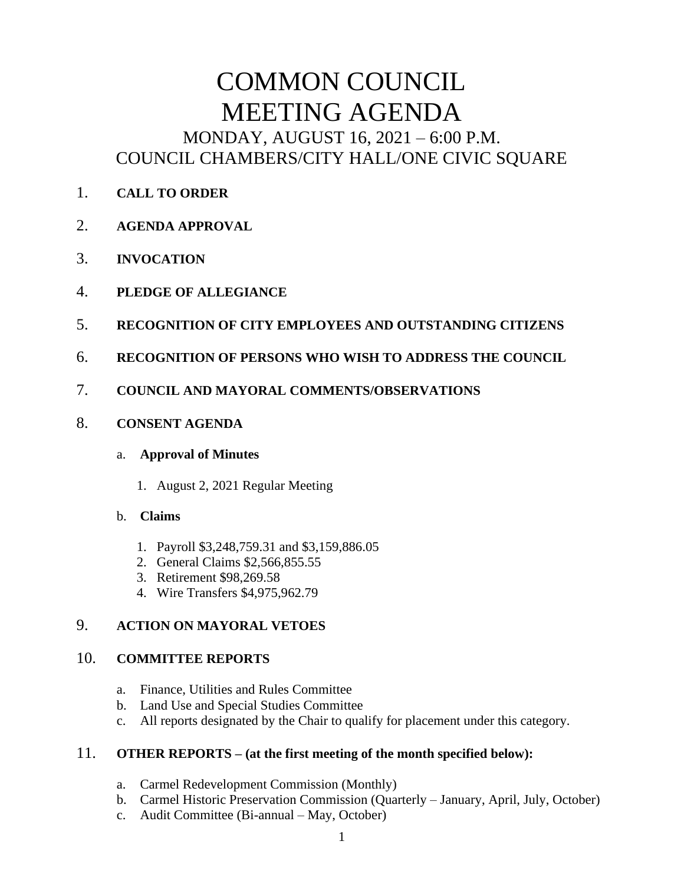# COMMON COUNCIL MEETING AGENDA MONDAY, AUGUST 16, 2021 – 6:00 P.M. COUNCIL CHAMBERS/CITY HALL/ONE CIVIC SQUARE

- 1. **CALL TO ORDER**
- 2. **AGENDA APPROVAL**
- 3. **INVOCATION**
- 4. **PLEDGE OF ALLEGIANCE**
- 5. **RECOGNITION OF CITY EMPLOYEES AND OUTSTANDING CITIZENS**
- 6. **RECOGNITION OF PERSONS WHO WISH TO ADDRESS THE COUNCIL**
- 7. **COUNCIL AND MAYORAL COMMENTS/OBSERVATIONS**
- 8. **CONSENT AGENDA**

#### a. **Approval of Minutes**

1. August 2, 2021 Regular Meeting

# b. **Claims**

- 1. Payroll \$3,248,759.31 and \$3,159,886.05
- 2. General Claims \$2,566,855.55
- 3. Retirement \$98,269.58
- 4. Wire Transfers \$4,975,962.79

# 9. **ACTION ON MAYORAL VETOES**

# 10. **COMMITTEE REPORTS**

- a. Finance, Utilities and Rules Committee
- b. Land Use and Special Studies Committee
- c. All reports designated by the Chair to qualify for placement under this category.

# 11. **OTHER REPORTS – (at the first meeting of the month specified below):**

- a. Carmel Redevelopment Commission (Monthly)
- b. Carmel Historic Preservation Commission (Quarterly January, April, July, October)
- c. Audit Committee (Bi-annual May, October)